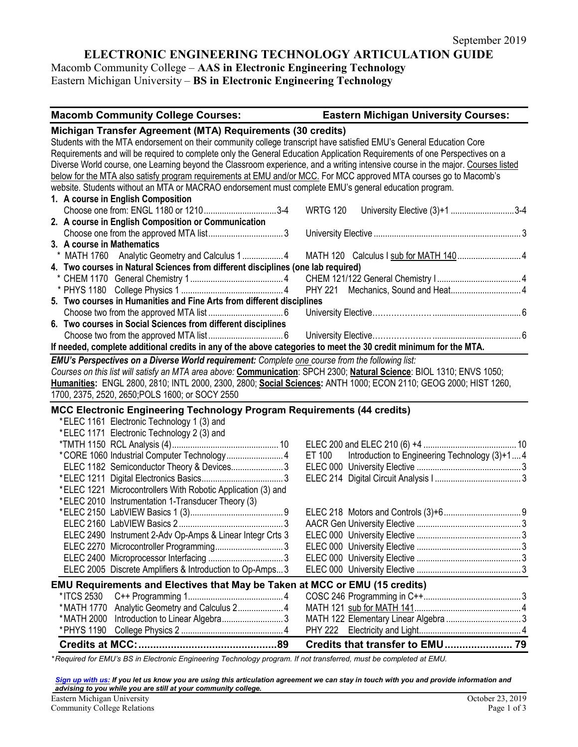# **ELECTRONIC ENGINEERING TECHNOLOGY ARTICULATION GUIDE**

Macomb Community College – **AAS in Electronic Engineering Technology** Eastern Michigan University – **BS in Electronic Engineering Technology**

| <b>Macomb Community College Courses:</b>                                                                                        | <b>Eastern Michigan University Courses:</b>             |
|---------------------------------------------------------------------------------------------------------------------------------|---------------------------------------------------------|
| Michigan Transfer Agreement (MTA) Requirements (30 credits)                                                                     |                                                         |
| Students with the MTA endorsement on their community college transcript have satisfied EMU's General Education Core             |                                                         |
| Requirements and will be required to complete only the General Education Application Requirements of one Perspectives on a      |                                                         |
| Diverse World course, one Learning beyond the Classroom experience, and a writing intensive course in the major. Courses listed |                                                         |
| below for the MTA also satisfy program requirements at EMU and/or MCC. For MCC approved MTA courses go to Macomb's              |                                                         |
| website. Students without an MTA or MACRAO endorsement must complete EMU's general education program.                           |                                                         |
| 1. A course in English Composition                                                                                              |                                                         |
| Choose one from: ENGL 1180 or 12103-4                                                                                           | <b>WRTG 120</b><br>University Elective (3)+1 3-4        |
| 2. A course in English Composition or Communication                                                                             |                                                         |
|                                                                                                                                 |                                                         |
| 3. A course in Mathematics                                                                                                      |                                                         |
| * MATH 1760 Analytic Geometry and Calculus 14                                                                                   |                                                         |
| 4. Two courses in Natural Sciences from different disciplines (one lab required)                                                |                                                         |
|                                                                                                                                 |                                                         |
|                                                                                                                                 |                                                         |
| 5. Two courses in Humanities and Fine Arts from different disciplines                                                           |                                                         |
|                                                                                                                                 |                                                         |
| 6. Two courses in Social Sciences from different disciplines                                                                    |                                                         |
|                                                                                                                                 |                                                         |
| If needed, complete additional credits in any of the above categories to meet the 30 credit minimum for the MTA.                |                                                         |
| EMU's Perspectives on a Diverse World requirement: Complete one course from the following list:                                 |                                                         |
| Courses on this list will satisfy an MTA area above: Communication: SPCH 2300; Natural Science: BIOL 1310; ENVS 1050;           |                                                         |
| Humanities: ENGL 2800, 2810; INTL 2000, 2300, 2800; Social Sciences: ANTH 1000; ECON 2110; GEOG 2000; HIST 1260,                |                                                         |
| 1700, 2375, 2520, 2650; POLS 1600; or SOCY 2550                                                                                 |                                                         |
| MCC Electronic Engineering Technology Program Requirements (44 credits)                                                         |                                                         |
| *ELEC 1161 Electronic Technology 1 (3) and                                                                                      |                                                         |
| *ELEC 1171 Electronic Technology 2 (3) and                                                                                      |                                                         |
|                                                                                                                                 |                                                         |
| *CORE 1060 Industrial Computer Technology 4                                                                                     | ET 100<br>Introduction to Engineering Technology (3)+14 |
| ELEC 1182 Semiconductor Theory & Devices3                                                                                       |                                                         |
|                                                                                                                                 |                                                         |
| *ELEC 1221 Microcontrollers With Robotic Application (3) and                                                                    |                                                         |
| *ELEC 2010 Instrumentation 1-Transducer Theory (3)                                                                              |                                                         |
|                                                                                                                                 |                                                         |
|                                                                                                                                 |                                                         |
| ELEC 2490 Instrument 2-Adv Op-Amps & Linear Integr Crts 3                                                                       |                                                         |
|                                                                                                                                 |                                                         |
|                                                                                                                                 |                                                         |
| ELEC 2005 Discrete Amplifiers & Introduction to Op-Amps 3                                                                       |                                                         |
|                                                                                                                                 |                                                         |
| EMU Requirements and Electives that May be Taken at MCC or EMU (15 credits)                                                     |                                                         |
| * ITCS 2530                                                                                                                     |                                                         |
| Analytic Geometry and Calculus 2 4<br>*MATH 1770                                                                                |                                                         |
| *MATH 2000                                                                                                                      |                                                         |
|                                                                                                                                 |                                                         |
|                                                                                                                                 |                                                         |

*\* Required for EMU's BS in Electronic Engineering Technology program. If not transferred, must be completed at EMU.* 

*[Sign up with us:](https://www.emich.edu/ccr/articulation-agreements/signup.php) If you let us know you are using this articulation agreement we can stay in touch with you and provide information and advising to you while you are still at your community college.*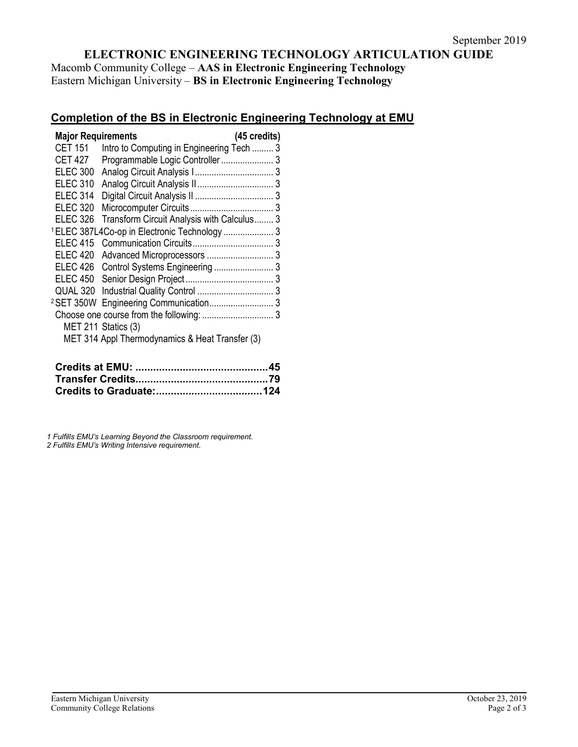## **ELECTRONIC ENGINEERING TECHNOLOGY ARTICULATION GUIDE**

Macomb Community College – **AAS in Electronic Engineering Technology** Eastern Michigan University – **BS in Electronic Engineering Technology**

### **Completion of the BS in Electronic Engineering Technology at EMU**

| <b>Major Requirements</b> |                                                          | (45 credits) |
|---------------------------|----------------------------------------------------------|--------------|
| <b>CET 151</b>            | Intro to Computing in Engineering Tech  3                |              |
| <b>CET 427</b>            | Programmable Logic Controller 3                          |              |
| <b>ELEC 300</b>           |                                                          |              |
| <b>ELEC 310</b>           |                                                          |              |
| <b>ELEC 314</b>           |                                                          |              |
| <b>ELEC 320</b>           |                                                          |              |
| <b>ELEC 326</b>           | Transform Circuit Analysis with Calculus 3               |              |
|                           | <sup>1</sup> ELEC 387L4Co-op in Electronic Technology  3 |              |
| <b>ELEC 415</b>           |                                                          |              |
| <b>ELEC 420</b>           |                                                          |              |
| ELEC 426                  | Control Systems Engineering  3                           |              |
| <b>ELEC 450</b>           |                                                          |              |
| QUAL 320                  |                                                          |              |
|                           |                                                          |              |
|                           |                                                          |              |
|                           | MET 211 Statics (3)                                      |              |
|                           | MET 314 Appl Thermodynamics & Heat Transfer (3)          |              |

*1 Fulfills EMU's Learning Beyond the Classroom requirement.*

*2 Fulfills EMU's Writing Intensive requirement.*